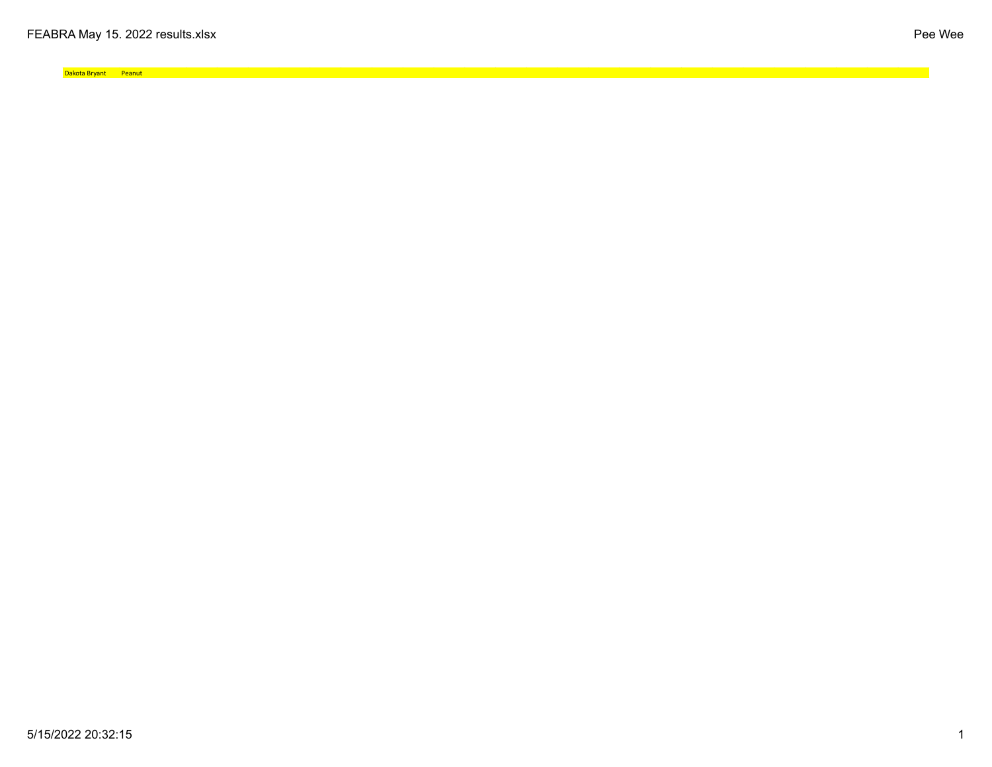Dakota Bryant Peanut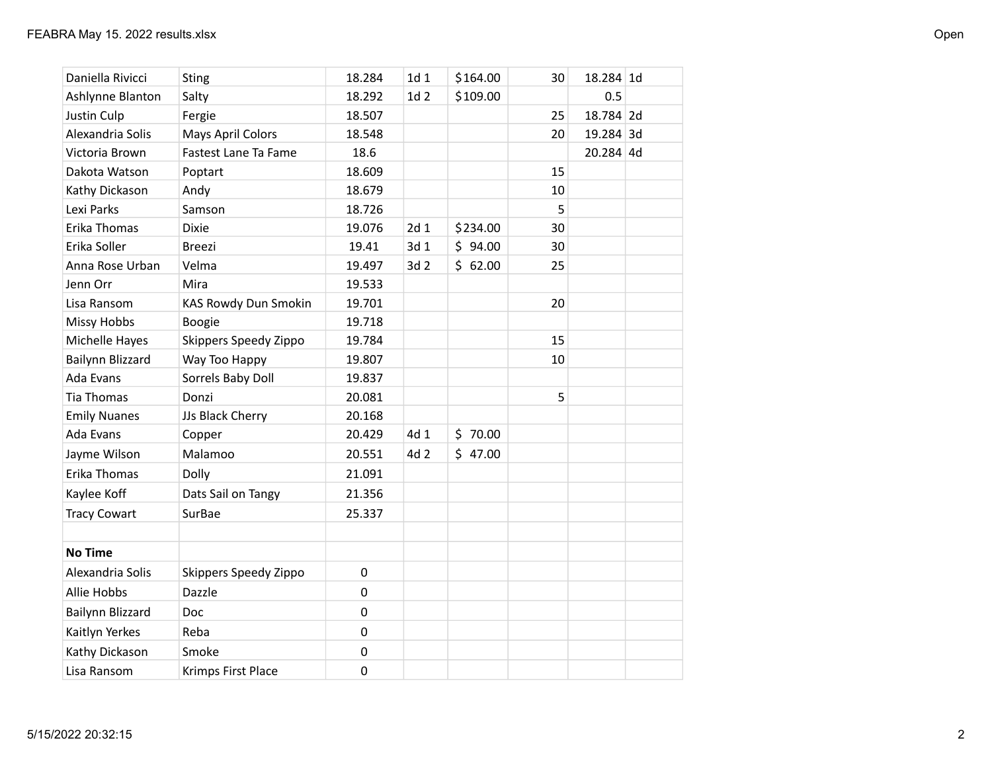| Daniella Rivicci    | <b>Sting</b>                | 18.284           | 1d <sub>1</sub> | \$164.00 | 30 | 18.284 1d |  |
|---------------------|-----------------------------|------------------|-----------------|----------|----|-----------|--|
| Ashlynne Blanton    | Salty                       | 18.292           | 1d <sub>2</sub> | \$109.00 |    | 0.5       |  |
| Justin Culp         | Fergie                      | 18.507           |                 |          | 25 | 18.784 2d |  |
| Alexandria Solis    | <b>Mays April Colors</b>    | 18.548           |                 |          | 20 | 19.284 3d |  |
| Victoria Brown      | Fastest Lane Ta Fame        | 18.6             |                 |          |    | 20.284 4d |  |
| Dakota Watson       | Poptart                     | 18.609           |                 |          | 15 |           |  |
| Kathy Dickason      | Andy                        | 18.679           |                 |          | 10 |           |  |
| Lexi Parks          | Samson                      | 18.726           |                 |          | 5  |           |  |
| Erika Thomas        | <b>Dixie</b>                | 19.076           | 2d 1            | \$234.00 | 30 |           |  |
| Erika Soller        | <b>Breezi</b>               | 19.41            | 3d 1            | \$94.00  | 30 |           |  |
| Anna Rose Urban     | Velma                       | 19.497           | 3d 2            | \$62.00  | 25 |           |  |
| Jenn Orr            | Mira                        | 19.533           |                 |          |    |           |  |
| Lisa Ransom         | <b>KAS Rowdy Dun Smokin</b> | 19.701           |                 |          | 20 |           |  |
| <b>Missy Hobbs</b>  | Boogie                      | 19.718           |                 |          |    |           |  |
| Michelle Hayes      | Skippers Speedy Zippo       | 19.784           |                 |          | 15 |           |  |
| Bailynn Blizzard    | Way Too Happy               | 19.807           |                 |          | 10 |           |  |
| Ada Evans           | Sorrels Baby Doll           | 19.837           |                 |          |    |           |  |
| Tia Thomas          | Donzi                       | 20.081           |                 |          | 5  |           |  |
| <b>Emily Nuanes</b> | JJs Black Cherry            | 20.168           |                 |          |    |           |  |
| Ada Evans           | Copper                      | 20.429           | 4d 1            | \$70.00  |    |           |  |
| Jayme Wilson        | Malamoo                     | 20.551           | 4d 2            | \$47.00  |    |           |  |
| Erika Thomas        | Dolly                       | 21.091           |                 |          |    |           |  |
| Kaylee Koff         | Dats Sail on Tangy          | 21.356           |                 |          |    |           |  |
| <b>Tracy Cowart</b> | SurBae                      | 25.337           |                 |          |    |           |  |
|                     |                             |                  |                 |          |    |           |  |
| <b>No Time</b>      |                             |                  |                 |          |    |           |  |
| Alexandria Solis    | Skippers Speedy Zippo       | $\pmb{0}$        |                 |          |    |           |  |
| <b>Allie Hobbs</b>  | Dazzle                      | $\boldsymbol{0}$ |                 |          |    |           |  |
| Bailynn Blizzard    | Doc                         | $\pmb{0}$        |                 |          |    |           |  |
| Kaitlyn Yerkes      | Reba                        | 0                |                 |          |    |           |  |
| Kathy Dickason      | Smoke                       | $\pmb{0}$        |                 |          |    |           |  |
| Lisa Ransom         | Krimps First Place          | $\mathbf 0$      |                 |          |    |           |  |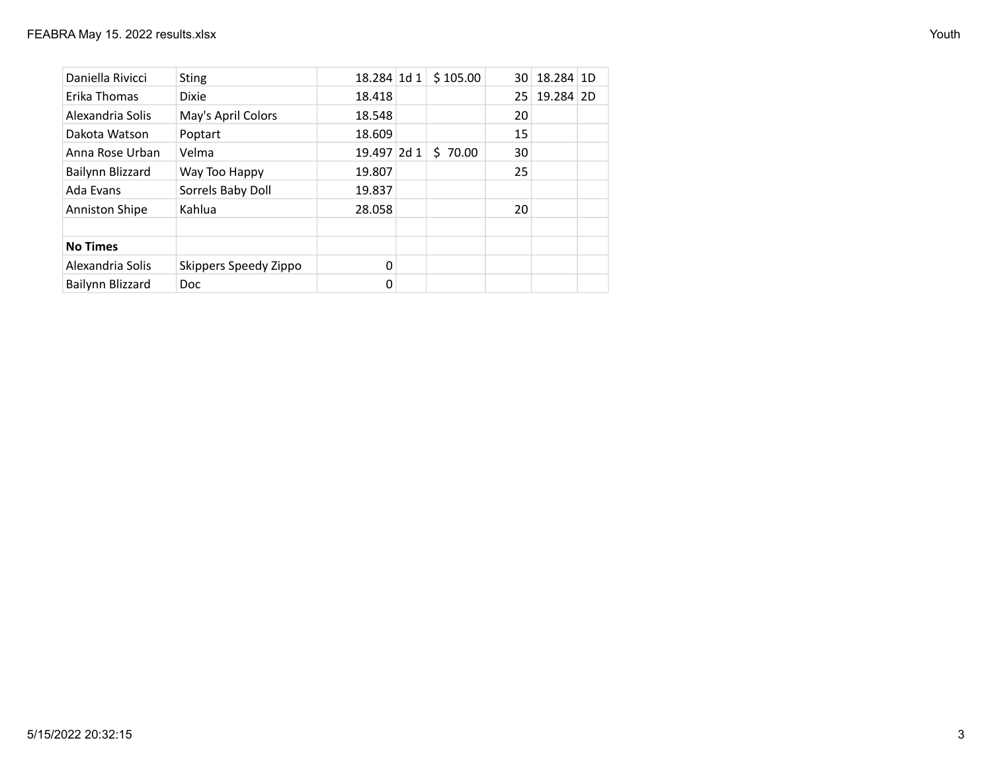| Daniella Rivicci      | <b>Sting</b>          | 18.284 1d 1 | \$105.00 | 30 | 18.284 1D |  |
|-----------------------|-----------------------|-------------|----------|----|-----------|--|
| Erika Thomas          | <b>Dixie</b>          | 18.418      |          | 25 | 19.284 2D |  |
| Alexandria Solis      | May's April Colors    | 18.548      |          | 20 |           |  |
| Dakota Watson         | Poptart               | 18.609      |          | 15 |           |  |
| Anna Rose Urban       | Velma                 | 19.497 2d 1 | \$70.00  | 30 |           |  |
| Bailynn Blizzard      | Way Too Happy         | 19.807      |          | 25 |           |  |
| Ada Evans             | Sorrels Baby Doll     | 19.837      |          |    |           |  |
| <b>Anniston Shipe</b> | Kahlua                | 28.058      |          | 20 |           |  |
|                       |                       |             |          |    |           |  |
| <b>No Times</b>       |                       |             |          |    |           |  |
| Alexandria Solis      | Skippers Speedy Zippo | $\Omega$    |          |    |           |  |
| Bailynn Blizzard      | Doc.                  |             |          |    |           |  |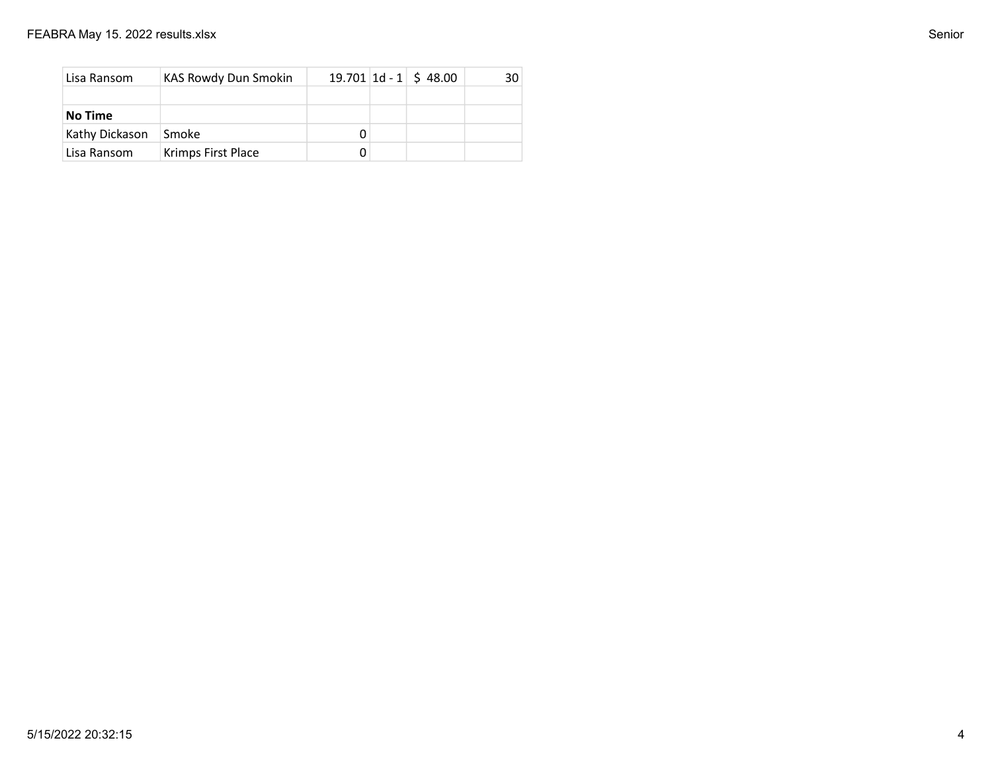| Lisa Ransom    | KAS Rowdy Dun Smokin |  | $19.701 \,   1d - 1   5 48.00$ | 30 I |
|----------------|----------------------|--|--------------------------------|------|
|                |                      |  |                                |      |
| No Time        |                      |  |                                |      |
| Kathy Dickason | Smoke                |  |                                |      |
| Lisa Ransom    | Krimps First Place   |  |                                |      |